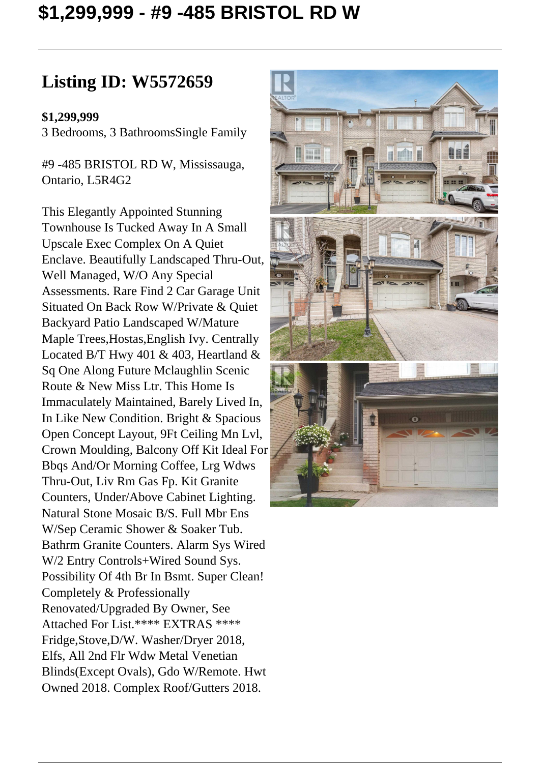## **\$1,299,999 - #9 -485 BRISTOL RD W**

## **Listing ID: W5572659**

## **\$1,299,999**

3 Bedrooms, 3 BathroomsSingle Family

#9 -485 BRISTOL RD W, Mississauga, Ontario, L5R4G2

This Elegantly Appointed Stunning Townhouse Is Tucked Away In A Small Upscale Exec Complex On A Quiet Enclave. Beautifully Landscaped Thru-Out, Well Managed, W/O Any Special Assessments. Rare Find 2 Car Garage Unit Situated On Back Row W/Private & Quiet Backyard Patio Landscaped W/Mature Maple Trees,Hostas,English Ivy. Centrally Located B/T Hwy 401 & 403, Heartland  $\&$ Sq One Along Future Mclaughlin Scenic Route & New Miss Ltr. This Home Is Immaculately Maintained, Barely Lived In, In Like New Condition. Bright & Spacious Open Concept Layout, 9Ft Ceiling Mn Lvl, Crown Moulding, Balcony Off Kit Ideal For Bbqs And/Or Morning Coffee, Lrg Wdws Thru-Out, Liv Rm Gas Fp. Kit Granite Counters, Under/Above Cabinet Lighting. Natural Stone Mosaic B/S. Full Mbr Ens W/Sep Ceramic Shower & Soaker Tub. Bathrm Granite Counters. Alarm Sys Wired W/2 Entry Controls+Wired Sound Sys. Possibility Of 4th Br In Bsmt. Super Clean! Completely & Professionally Renovated/Upgraded By Owner, See Attached For List.\*\*\*\* EXTRAS \*\*\*\* Fridge,Stove,D/W. Washer/Dryer 2018, Elfs, All 2nd Flr Wdw Metal Venetian Blinds(Except Ovals), Gdo W/Remote. Hwt Owned 2018. Complex Roof/Gutters 2018.